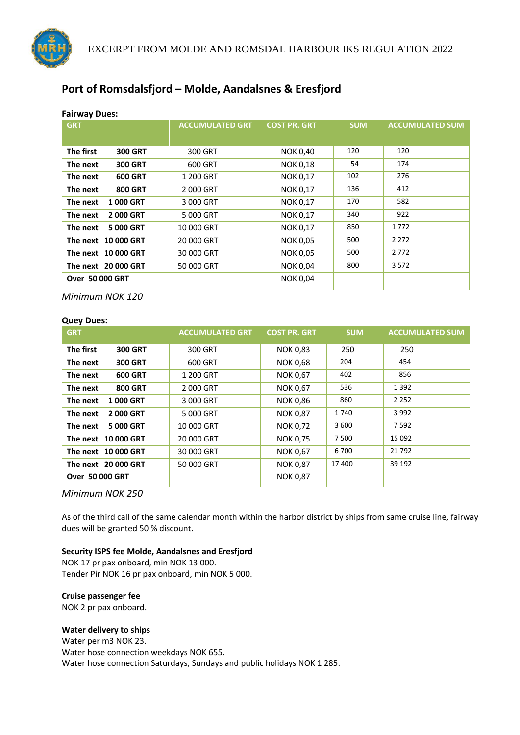

# **Port of Romsdalsfjord – Molde, Aandalsnes & Eresfjord**

| <b>Fairway Dues:</b>        |                        |                     |            |                        |  |
|-----------------------------|------------------------|---------------------|------------|------------------------|--|
| <b>GRT</b>                  | <b>ACCUMULATED GRT</b> | <b>COST PR. GRT</b> | <b>SUM</b> | <b>ACCUMULATED SUM</b> |  |
|                             |                        |                     |            |                        |  |
| The first<br><b>300 GRT</b> | 300 GRT                | <b>NOK 0,40</b>     | 120        | 120                    |  |
| <b>300 GRT</b><br>The next  | 600 GRT                | <b>NOK 0,18</b>     | 54         | 174                    |  |
| <b>600 GRT</b><br>The next  | 1 200 GRT              | <b>NOK 0,17</b>     | 102        | 276                    |  |
| <b>800 GRT</b><br>The next  | 2000 GRT               | <b>NOK 0,17</b>     | 136        | 412                    |  |
| <b>1000 GRT</b><br>The next | 3 000 GRT              | <b>NOK 0,17</b>     | 170        | 582                    |  |
| 2000 GRT<br>The next        | 5 000 GRT              | <b>NOK 0,17</b>     | 340        | 922                    |  |
| 5 000 GRT<br>The next       | 10 000 GRT             | <b>NOK 0,17</b>     | 850        | 1772                   |  |
| The next 10 000 GRT         | 20 000 GRT             | <b>NOK 0,05</b>     | 500        | 2 2 7 2                |  |
| The next 10 000 GRT         | 30 000 GRT             | <b>NOK 0,05</b>     | 500        | 2772                   |  |
| The next 20 000 GRT         | 50 000 GRT             | <b>NOK 0,04</b>     | 800        | 3572                   |  |
| <b>Over 50 000 GRT</b>      |                        | <b>NOK 0,04</b>     |            |                        |  |
|                             |                        |                     |            |                        |  |

*Minimum NOK 120*

#### **Quey Dues:**

| <b>GRT</b>                  | <b>ACCUMULATED GRT</b> | <b>COST PR. GRT</b> | <b>SUM</b> | <b>ACCUMULATED SUM</b> |
|-----------------------------|------------------------|---------------------|------------|------------------------|
| The first<br><b>300 GRT</b> | 300 GRT                | <b>NOK 0,83</b>     | 250        | 250                    |
| The next<br><b>300 GRT</b>  | 600 GRT                | <b>NOK 0,68</b>     | 204        | 454                    |
| The next<br><b>600 GRT</b>  | 1 200 GRT              | <b>NOK 0,67</b>     | 402        | 856                    |
| <b>800 GRT</b><br>The next  | 2 000 GRT              | <b>NOK 0,67</b>     | 536        | 1 3 9 2                |
| 1000 GRT<br>The next        | 3 000 GRT              | <b>NOK 0,86</b>     | 860        | 2 2 5 2                |
| 2000 GRT<br>The next        | 5 000 GRT              | <b>NOK 0,87</b>     | 1740       | 3 9 9 2                |
| 5 000 GRT<br>The next       | 10 000 GRT             | <b>NOK 0,72</b>     | 3 600      | 7 5 9 2                |
| The next 10 000 GRT         | 20 000 GRT             | <b>NOK 0,75</b>     | 7 500      | 15 0 92                |
| The next 10 000 GRT         | 30 000 GRT             | <b>NOK 0,67</b>     | 6700       | 21 7 9 2               |
| The next 20 000 GRT         | 50 000 GRT             | <b>NOK 0,87</b>     | 17400      | 39 192                 |
| <b>Over 50 000 GRT</b>      |                        | <b>NOK 0,87</b>     |            |                        |

*Minimum NOK 250*

As of the third call of the same calendar month within the harbor district by ships from same cruise line, fairway dues will be granted 50 % discount.

### **Security ISPS fee Molde, Aandalsnes and Eresfjord**

NOK 17 pr pax onboard, min NOK 13 000. Tender Pir NOK 16 pr pax onboard, min NOK 5 000.

#### **Cruise passenger fee**

NOK 2 pr pax onboard.

### **Water delivery to ships**

Water per m3 NOK 23. Water hose connection weekdays NOK 655. Water hose connection Saturdays, Sundays and public holidays NOK 1 285.